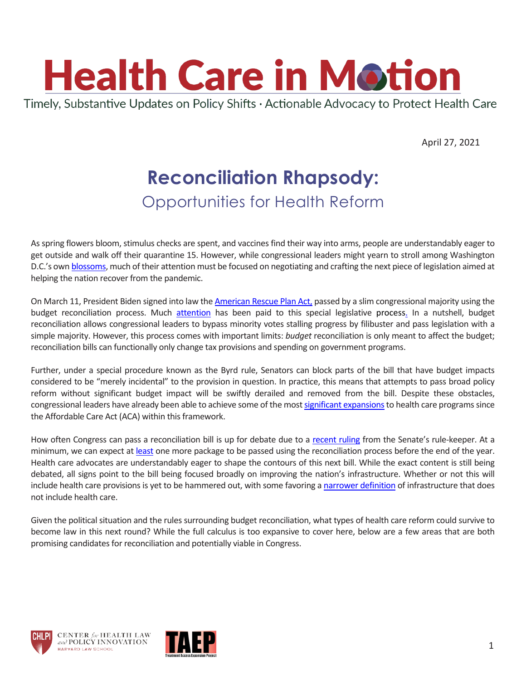

April 27, 2021

# **Reconciliation Rhapsody:** Opportunities for Health Reform

As spring flowers bloom, stimulus checks are spent, and vaccines find their way into arms, people are understandably eager to get outside and walk off their quarantine 15. However, while congressional leaders might yearn to stroll among Washington D.C.'s ow[n blossoms,](https://nationalcherryblossomfestival.org/bloom-watch/) much of their attention must be focused on negotiating and crafting the next piece of legislation aimed at helping the nation recover from the pandemic.

On March 11, President Biden signed into law the [American Rescue Plan Act,](https://www.congress.gov/bill/117th-congress/house-bill/1319/text) passed by a slim congressional majority using the budget reconciliation process. Much [attention](https://www.cbpp.org/research/federal-budget/introduction-to-budget-reconciliation) has been paid to this special legislative process. In a nutshell, budget reconciliation allows congressional leaders to bypass minority votes stalling progress by filibuster and pass legislation with a simple majority. However, this process comes with important limits: *budget* reconciliation is only meant to affect the budget; reconciliation bills can functionally only change tax provisions and spending on government programs.

Further, under a special procedure known as the Byrd rule, Senators can block parts of the bill that have budget impacts considered to be "merely incidental" to the provision in question. In practice, this means that attempts to pass broad policy reform without significant budget impact will be swiftly derailed and removed from the bill. Despite these obstacles, congressional leaders have already been able to achieve some of the mos[t significant expansionst](https://ccf.georgetown.edu/2021/03/11/american-rescue-plan-act-health-coverage-provisions-explained/)o health care programs since the Affordable Care Act (ACA) within this framework.

How often Congress can pass a reconciliation bill is up for debate due to a [recent ruling](https://thehill.com/homenews/senate/548783-senators-in-the-dark-on-parliamentarians-decision?amp) from the Senate's rule-keeper. At a minimum, we can expect at [least](https://www.vox.com/22361959/biden-infrastructure-jobs-plan-congress) one more package to be passed using the reconciliation process before the end of the year. Health care advocates are understandably eager to shape the contours of this next bill. While the exact content is still being debated, all signs point to the bill being focused broadly on improving the nation's infrastructure. Whether or not this will include health care provisions is yet to be hammered out, with some favoring a [narrower definition](https://www.reuters.com/article/usa-congress-infrastructure/update-1-key-us-senate-democrat-favors-smaller-infrastructure-bill-idUSL1N2MI0B7) of infrastructure that does not include health care.

Given the political situation and the rules surrounding budget reconciliation, what types of health care reform could survive to become law in this next round? While the full calculus is too expansive to cover here, below are a few areas that are both promising candidates for reconciliation and potentially viable in Congress.



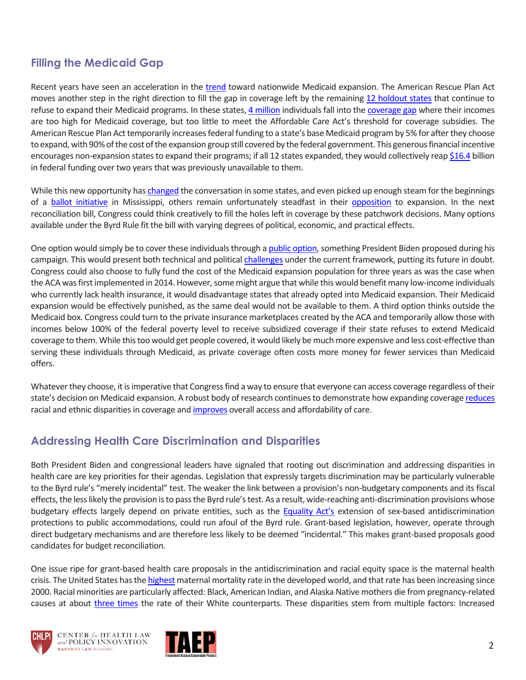## **Filling the Medicaid Gap**

Recent years have seen an acceleration in the [trend](https://www.kff.org/medicaid/issue-brief/status-of-state-medicaid-expansion-decisions-interactive-map/) toward nationwide Medicaid expansion. The American Rescue Plan Act moves another step in the right direction to fill the gap in coverage left by the remaining [12 holdout states](https://www.kff.org/medicaid/issue-brief/status-of-state-medicaid-expansion-decisions-interactive-map/) that continue to refuse to expand their Medicaid programs. In these states[, 4 million](https://www.kff.org/medicaid/fact-sheet/uninsured-adults-in-states-that-did-not-expand-who-would-become-eligible-for-medicaid-under-expansion/) individuals fall into the [coverage gap](https://vimeo.com/152588751) where their incomes are too high for Medicaid coverage, but too little to meet the Affordable Care Act's threshold for coverage subsidies. The American Rescue Plan Act temporarily increases federal funding to a state's base Medicaid program by 5% for after they choose to expand, with 90% of the cost of the expansion group still covered by the federal government. This generousfinancial incentive encourages non-expansion states to expand their programs; if all 12 states expanded, they would collectively rea[p \\$16.4](https://www.kff.org/medicaid/issue-brief/new-incentive-for-states-to-adopt-the-aca-medicaid-expansion-implications-for-state-spending/) billion in federal funding over two years that was previously unavailable to them.

While this new opportunity has [changed](https://www.texastribune.org/2021/04/21/texas-medicaid-expansion/) the conversation in some states, and even picked up enough steam for the beginnings of a [ballot initiative](https://mississippitoday.org/2021/04/09/mississippi-medicaid-expansion-ballot-initiative-hospitals/) in Mississippi, others remain unfortunately steadfast in their [opposition](https://www.usatoday.com/in-depth/news/politics/2021/04/10/joe-bidens-offer-extend-medicaid-gets-wary-reception-states/4821388001/) to expansion. In the next reconciliation bill, Congress could think creatively to fill the holes left in coverage by these patchwork decisions. Many options available under the Byrd Rule fit the bill with varying degrees of political, economic, and practical effects.

One option would simply be to cover these individuals through a [public option,](https://morningconsult.com/2021/03/01/public-option-reconciliation-bill-democrats-congress/) something President Biden proposed during his campaign. This would present both technical and politica[l challenges](https://www.cnbc.com/2021/04/01/biden-considers-health-care-public-option-in-economic-recovery-plan.html) under the current framework, putting its future in doubt. Congress could also choose to fully fund the cost of the Medicaid expansion population for three years as was the case when the ACA was first implemented in 2014. However, some might argue that while this would benefit many low-income individuals who currently lack health insurance, it would disadvantage states that already opted into Medicaid expansion. Their Medicaid expansion would be effectively punished, as the same deal would not be available to them. A third option thinks outside the Medicaid box. Congress could turn to the private insurance marketplaces created by the ACA and temporarily allow those with incomes below 100% of the federal poverty level to receive subsidized coverage if their state refuses to extend Medicaid coverage to them. While this too would get people covered, it would likely be much more expensive and less cost-effective than serving these individuals through Medicaid, as private coverage often costs more money for fewer services than Medicaid offers.

Whatever they choose, it is imperative that Congress find a way to ensure that everyone can access coverage regardless of their state's decision on Medicaid expansion. A robust body of research continues to demonstrate how expanding coverag[e reduces](https://www.kff.org/medicaid/issue-brief/effects-of-the-aca-medicaid-expansion-on-racial-disparities-in-health-and-health-care/) racial and ethnic disparities in coverage and [improves](https://www.kff.org/medicaid/report/the-effects-of-medicaid-expansion-under-the-aca-updated-findings-from-a-literature-review/) overall access and affordability of care.

#### **Addressing Health Care Discrimination and Disparities**

Both President Biden and congressional leaders have signaled that rooting out discrimination and addressing disparities in health care are key priorities for their agendas. Legislation that expressly targets discrimination may be particularly vulnerable to the Byrd rule's "merely incidental" test. The weaker the link between a provision's non-budgetary components and its fiscal effects, the less likely the provision is to pass the Byrd rule's test. As a result, wide-reaching anti-discrimination provisions whose budgetary effects largely depend on private entities, such as the [Equality Act's](https://www.congress.gov/bill/117th-congress/house-bill/5/text) extension of sex-based antidiscrimination protections to public accommodations, could run afoul of the Byrd rule. Grant-based legislation, however, operate through direct budgetary mechanisms and are therefore less likely to be deemed "incidental." This makes grant-based proposals good candidates for budget reconciliation.

One issue ripe for grant-based health care proposals in the antidiscrimination and racial equity space is the maternal health crisis. The United States has th[e highest](https://www.commonwealthfund.org/publications/issue-briefs/2020/nov/maternal-mortality-maternity-care-us-compared-10-countries#1.) maternal mortality rate in the developed world, and that rate has been increasing since 2000. Racial minorities are particularly affected: Black, American Indian, and Alaska Native mothers die from pregnancy-related causes at about [three times](https://www.cdc.gov/mmwr/volumes/68/wr/mm6835a3.htm?s_cid=mm6835a3_w) the rate of their White counterparts. These disparities stem from multiple factors: Increased





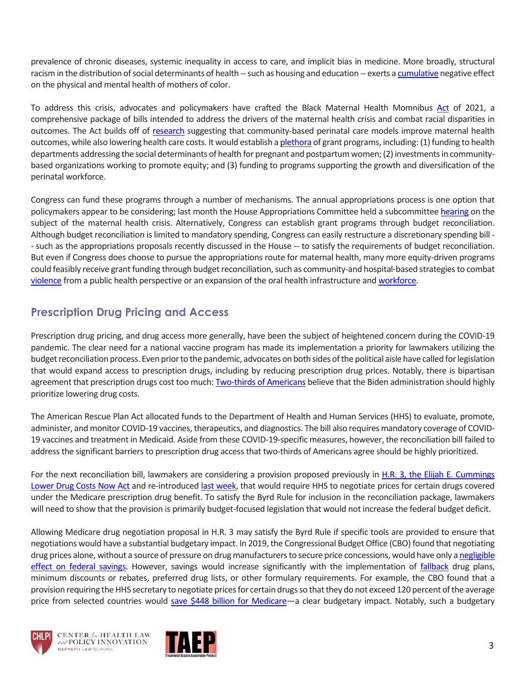prevalence of chronic diseases, systemic inequality in access to care, and implicit bias in medicine. More broadly, structural racism in the distribution of social determinants of health -- such as housing and education -- exerts [a cumulative](https://www.americanprogress.org/issues/early-childhood/reports/2018/02/01/445576/exploring-african-americans-high-maternal-infant-death-rates/) negative effect on the physical and mental health of mothers of color.

To address this crisis, advocates and policymakers have crafted the Black Maternal Health Momnibus [Act](https://blackmaternalhealthcaucus-underwood.house.gov/Momnibus) of 2021, a comprehensive package of bills intended to address the drivers of the maternal health crisis and combat racial disparities in outcomes. The Act builds off of [research](https://www.commonwealthfund.org/publications/issue-briefs/2021/mar/community-models-improve-maternal-outcomes-equity.) suggesting that community-based perinatal care models improve maternal health outcomes, while also lowering health care costs. It would establish [a plethora](https://blackmaternalhealthcaucus-underwood.house.gov/Momnibus) of grant programs, including: (1) funding to health departments addressing the social determinants of health for pregnant and postpartum women; (2) investments in communitybased organizations working to promote equity; and (3) funding to programs supporting the growth and diversification of the perinatal workforce.

Congress can fund these programs through a number of mechanisms. The annual appropriations process is one option that policymakers appear to be considering; last month the House Appropriations Committee held a subcommittee [hearing](https://appropriations.house.gov/events/hearings/addressing-the-maternal-health-crisis) on the subject of the maternal health crisis. Alternatively, Congress can establish grant programs through budget reconciliation. Although budget reconciliation is limited to mandatory spending, Congress can easily restructure a discretionary spending bill - - such as the appropriations proposals recently discussed in the House -- to satisfy the requirements of budget reconciliation. But even if Congress does choose to pursue the appropriations route for maternal health, many more equity-driven programs could feasibly receive grant funding through budget reconciliation, such as community-and hospital-based strategies to combat [violence](https://www.commonwealthfund.org/publications/podcast/2021/feb/violence-interrupted-breaking-cycles-violence-hospital-and-street) from a public health perspective or an expansion of the oral health infrastructure an[d workforce.](https://www.healthaffairs.org/do/10.1377/hblog20210217.158306/full/) 

# **Prescription Drug Pricing and Access**

Prescription drug pricing, and drug access more generally, have been the subject of heightened concern during the COVID-19 pandemic. The clear need for a national vaccine program has made its implementation a priority for lawmakers utilizing the budget reconciliation process. Even prior to the pandemic, advocates on both sides of the political aisle have called for legislation that would expand access to prescription drugs, including by reducing prescription drug prices. Notably, there is bipartisan agreement that prescription drugs cost too much[: Two-thirds of Americans](https://news.gallup.com/poll/328757/say-reducing-cost-care-high-priority-biden.aspx) believe that the Biden administration should highly prioritize lowering drug costs.

The American Rescue Plan Act allocated funds to the Department of Health and Human Services (HHS) to evaluate, promote, administer, and monitor COVID-19 vaccines, therapeutics, and diagnostics. The bill also requires mandatory coverage of COVID-19 vaccines and treatment in Medicaid. Aside from these COVID-19-specific measures, however, the reconciliation bill failed to address the significant barriers to prescription drug access that two-thirds of Americans agree should be highly prioritized.

For the next reconciliation bill, lawmakers are considering a provision proposed previously in [H.R. 3, the Elijah E. Cummings](https://www.congress.gov/bill/116th-congress/house-bill/3)  [Lower Drug Costs Now Act](https://www.congress.gov/bill/116th-congress/house-bill/3) and re-introduced [last week,](https://www.speaker.gov/newsroom/42221-2) that would require HHS to negotiate prices for certain drugs covered under the Medicare prescription drug benefit. To satisfy the Byrd Rule for inclusion in the reconciliation package, lawmakers will need to show that the provision is primarily budget-focused legislation that would not increase the federal budget deficit.

Allowing Medicare drug negotiation proposal in H.R. 3 may satisfy the Byrd Rule if specific tools are provided to ensure that negotiations would have a substantial budgetary impact. In 2019, the Congressional Budget Office (CBO) found that negotiating drug prices alone, without a source of pressure on drug manufacturers to secure price concessions, would have only [a negligible](https://www.cbo.gov/system/files/2019-05/55270-DrugPricesMedicare.pdf)  [effect on federal savings.](https://www.cbo.gov/system/files/2019-05/55270-DrugPricesMedicare.pdf) However, savings would increase significantly with the implementation of [fallback](https://www.commonwealthfund.org/blog/2017/shoring-health-insurance-marketplaces-learning-medicares-prescription-drug-program) drug plans, minimum discounts or rebates, preferred drug lists, or other formulary requirements. For example, the CBO found that a provision requiring the HHS secretary to negotiate prices for certain drugs so that they do not exceed 120 percent of the average price from selected countries would [save \\$448 billion for Medicare—](http://cbo.gov/system/files/2019-12/hr3_complete.pdf)a clear budgetary impact. Notably, such a budgetary